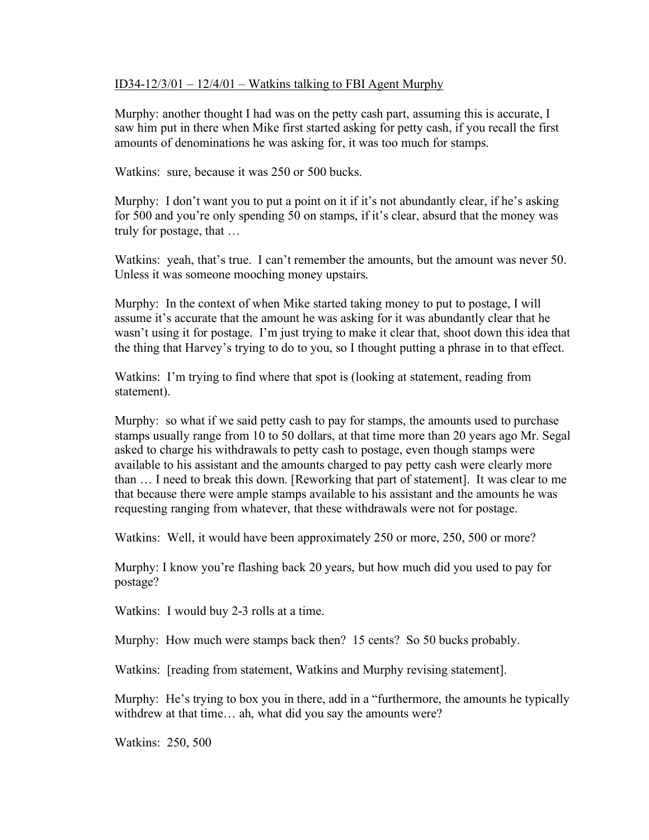## ID34-12/3/01 –  $12/4/01$  – Watkins talking to FBI Agent Murphy

Murphy: another thought I had was on the petty cash part, assuming this is accurate, I saw him put in there when Mike first started asking for petty cash, if you recall the first amounts of denominations he was asking for, it was too much for stamps.

Watkins: sure, because it was 250 or 500 bucks.

Murphy: I don't want you to put a point on it if it's not abundantly clear, if he's asking for 500 and you're only spending 50 on stamps, if it's clear, absurd that the money was truly for postage, that …

Watkins: yeah, that's true. I can't remember the amounts, but the amount was never 50. Unless it was someone mooching money upstairs.

Murphy: In the context of when Mike started taking money to put to postage, I will assume it's accurate that the amount he was asking for it was abundantly clear that he wasn't using it for postage. I'm just trying to make it clear that, shoot down this idea that the thing that Harvey's trying to do to you, so I thought putting a phrase in to that effect.

Watkins: I'm trying to find where that spot is (looking at statement, reading from statement).

Murphy: so what if we said petty cash to pay for stamps, the amounts used to purchase stamps usually range from 10 to 50 dollars, at that time more than 20 years ago Mr. Segal asked to charge his withdrawals to petty cash to postage, even though stamps were available to his assistant and the amounts charged to pay petty cash were clearly more than … I need to break this down. [Reworking that part of statement]. It was clear to me that because there were ample stamps available to his assistant and the amounts he was requesting ranging from whatever, that these withdrawals were not for postage.

Watkins: Well, it would have been approximately 250 or more, 250, 500 or more?

Murphy: I know you're flashing back 20 years, but how much did you used to pay for postage?

Watkins: I would buy 2-3 rolls at a time.

Murphy: How much were stamps back then? 15 cents? So 50 bucks probably.

Watkins: [reading from statement, Watkins and Murphy revising statement].

Murphy: He's trying to box you in there, add in a "furthermore, the amounts he typically withdrew at that time… ah, what did you say the amounts were?

Watkins: 250, 500